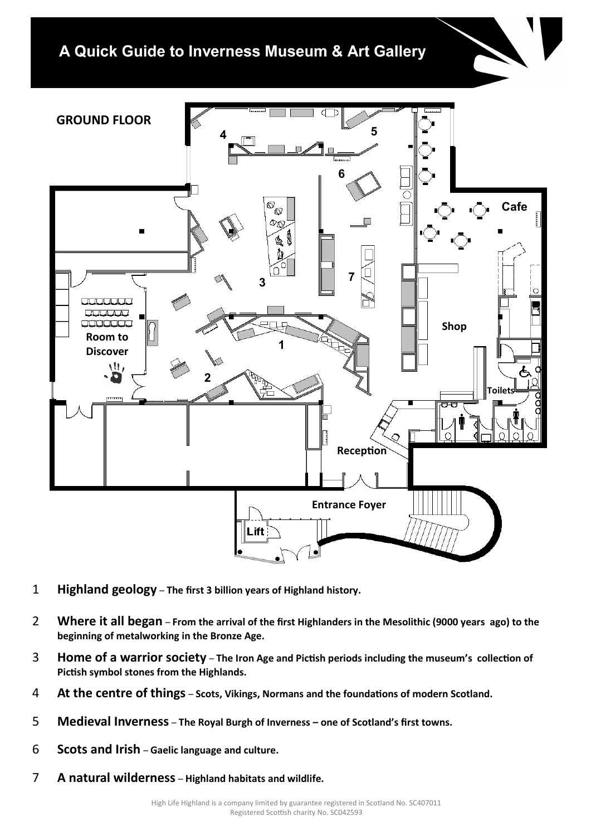## A Quick Guide to Inverness Museum & Art Gallery



- 1 **Highland geology The first 3 billion years of Highland history.**
- 2 **Where it all began From the arrival of the first Highlanders in the Mesolithic (9000 years ago) to the beginning of metalworking in the Bronze Age.**
- 3 **Home of a warrior society The Iron Age and Pictish periods including the museum's collection of Pictish symbol stones from the Highlands.**
- 4 **At the centre of things Scots, Vikings, Normans and the foundations of modern Scotland.**
- 5 **Medieval Inverness The Royal Burgh of Inverness – one of Scotland's first towns.**
- 6 **Scots and Irish Gaelic language and culture.**
- 7 **A natural wilderness Highland habitats and wildlife.**